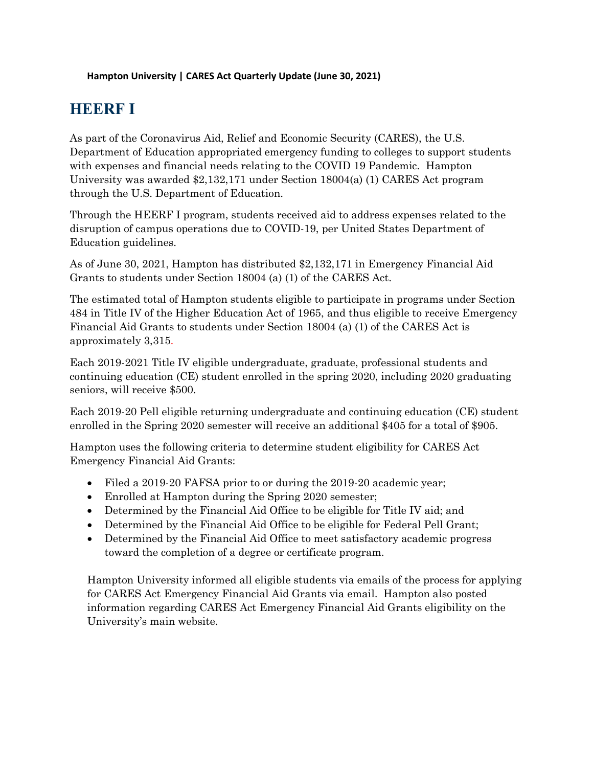## **HEERF I**

As part of the Coronavirus Aid, Relief and Economic Security (CARES), the U.S. Department of Education appropriated emergency funding to colleges to support students with expenses and financial needs relating to the COVID 19 Pandemic. Hampton University was awarded \$2,132,171 under Section 18004(a) (1) CARES Act program through the U.S. Department of Education.

Through the HEERF I program, students received aid to address expenses related to the disruption of campus operations due to COVID-19, per United States Department of Education guidelines.

As of June 30, 2021, Hampton has distributed \$2,132,171 in Emergency Financial Aid Grants to students under Section 18004 (a) (1) of the CARES Act.

The estimated total of Hampton students eligible to participate in programs under Section 484 in Title IV of the Higher Education Act of 1965, and thus eligible to receive Emergency Financial Aid Grants to students under Section 18004 (a) (1) of the CARES Act is approximately 3,315.

Each 2019-2021 Title IV eligible undergraduate, graduate, professional students and continuing education (CE) student enrolled in the spring 2020, including 2020 graduating seniors, will receive \$500.

Each 2019-20 Pell eligible returning undergraduate and continuing education (CE) student enrolled in the Spring 2020 semester will receive an additional \$405 for a total of \$905.

Hampton uses the following criteria to determine student eligibility for CARES Act Emergency Financial Aid Grants:

- Filed a 2019-20 FAFSA prior to or during the 2019-20 academic year;
- Enrolled at Hampton during the Spring 2020 semester;
- Determined by the Financial Aid Office to be eligible for Title IV aid; and
- Determined by the Financial Aid Office to be eligible for Federal Pell Grant;
- Determined by the Financial Aid Office to meet satisfactory academic progress toward the completion of a degree or certificate program.

Hampton University informed all eligible students via emails of the process for applying for CARES Act Emergency Financial Aid Grants via email. Hampton also posted information regarding CARES Act Emergency Financial Aid Grants eligibility on the University's main website.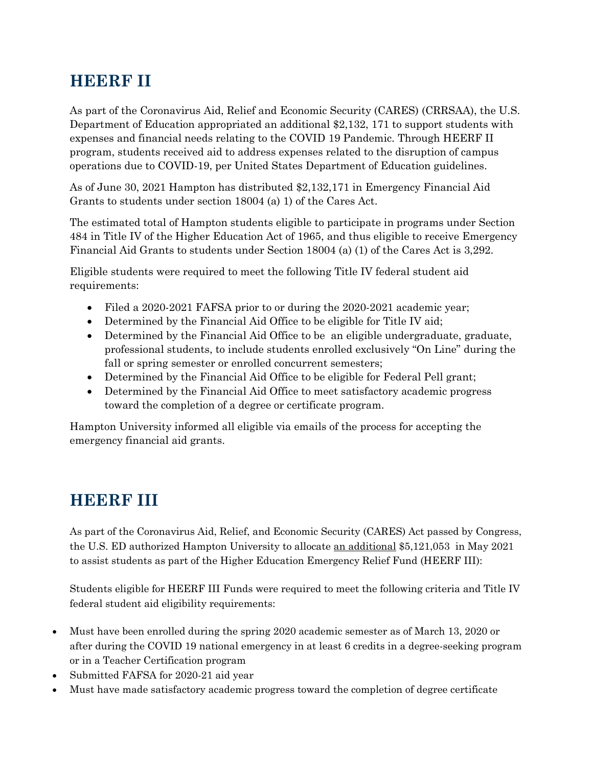## **HEERF II**

As part of the Coronavirus Aid, Relief and Economic Security (CARES) (CRRSAA), the U.S. Department of Education appropriated an additional \$2,132, 171 to support students with expenses and financial needs relating to the COVID 19 Pandemic. Through HEERF II program, students received aid to address expenses related to the disruption of campus operations due to COVID-19, per United States Department of Education guidelines.

As of June 30, 2021 Hampton has distributed \$2,132,171 in Emergency Financial Aid Grants to students under section 18004 (a) 1) of the Cares Act.

The estimated total of Hampton students eligible to participate in programs under Section 484 in Title IV of the Higher Education Act of 1965, and thus eligible to receive Emergency Financial Aid Grants to students under Section 18004 (a) (1) of the Cares Act is 3,292.

Eligible students were required to meet the following Title IV federal student aid requirements:

- Filed a 2020-2021 FAFSA prior to or during the 2020-2021 academic year;
- Determined by the Financial Aid Office to be eligible for Title IV aid;
- Determined by the Financial Aid Office to be an eligible undergraduate, graduate, professional students, to include students enrolled exclusively "On Line" during the fall or spring semester or enrolled concurrent semesters;
- Determined by the Financial Aid Office to be eligible for Federal Pell grant;
- Determined by the Financial Aid Office to meet satisfactory academic progress toward the completion of a degree or certificate program.

Hampton University informed all eligible via emails of the process for accepting the emergency financial aid grants.

## **HEERF III**

As part of the Coronavirus Aid, Relief, and Economic Security (CARES) Act passed by Congress, the U.S. ED authorized Hampton University to allocate an additional \$5,121,053 in May 2021 to assist students as part of the Higher Education Emergency Relief Fund (HEERF III):

Students eligible for HEERF III Funds were required to meet the following criteria and Title IV federal student aid eligibility requirements:

- Must have been enrolled during the spring 2020 academic semester as of March 13, 2020 or after during the COVID 19 national emergency in at least 6 credits in a degree-seeking program or in a Teacher Certification program
- Submitted FAFSA for 2020-21 aid year
- Must have made satisfactory academic progress toward the completion of degree certificate